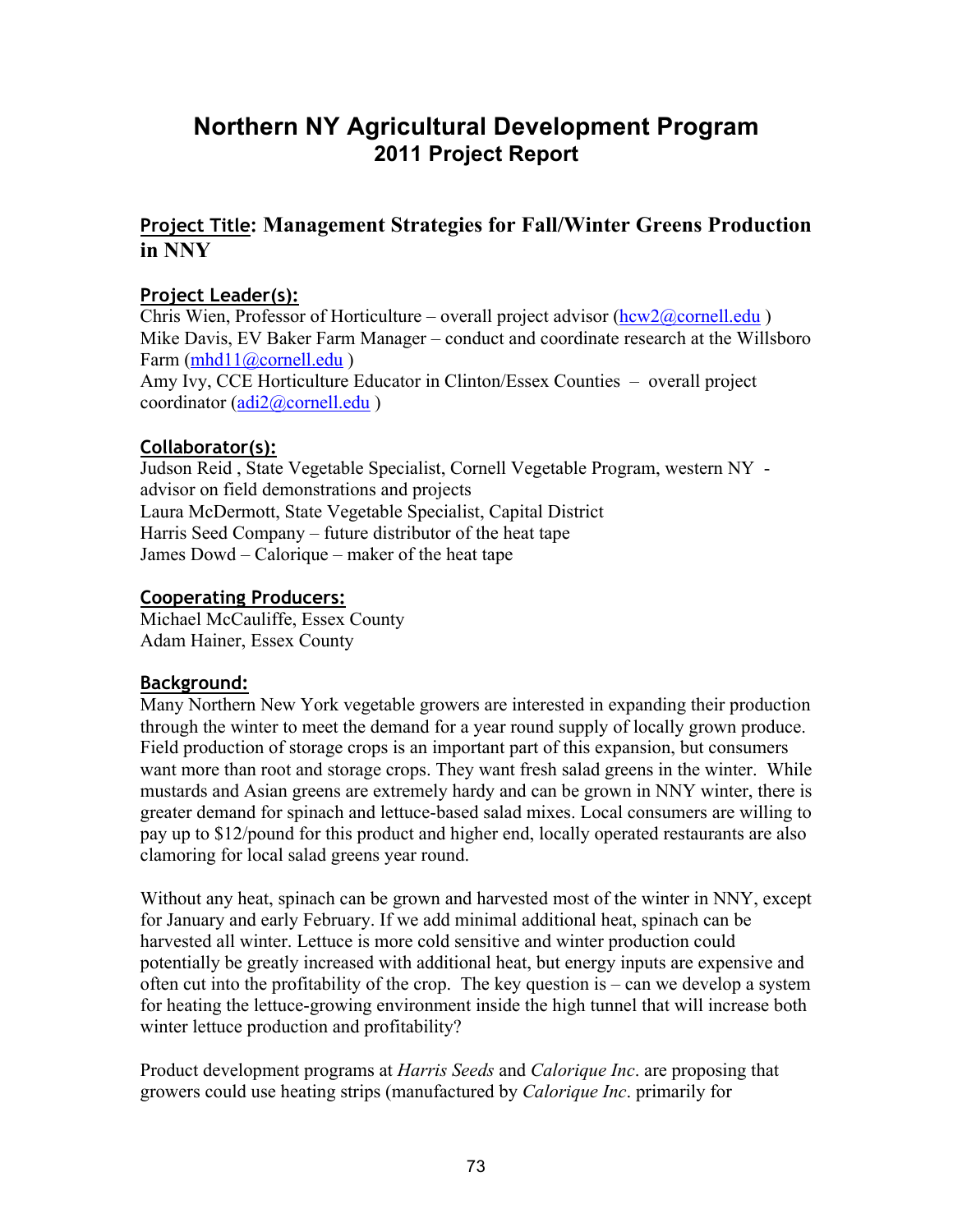# **Northern NY Agricultural Development Program 2011 Project Report**

# **Project Title: Management Strategies for Fall/Winter Greens Production in NNY**

#### **Project Leader(s):**

Chris Wien, Professor of Horticulture – overall project advisor  $(hcw2@cornell.edu)$ Mike Davis, EV Baker Farm Manager – conduct and coordinate research at the Willsboro Farm (mhd11@cornell.edu) Amy Ivy, CCE Horticulture Educator in Clinton/Essex Counties – overall project coordinator (adi2@cornell.edu)

#### **Collaborator(s):**

Judson Reid , State Vegetable Specialist, Cornell Vegetable Program, western NY advisor on field demonstrations and projects Laura McDermott, State Vegetable Specialist, Capital District Harris Seed Company – future distributor of the heat tape James Dowd – Calorique – maker of the heat tape

#### **Cooperating Producers:**

Michael McCauliffe, Essex County Adam Hainer, Essex County

# **Background:**

Many Northern New York vegetable growers are interested in expanding their production through the winter to meet the demand for a year round supply of locally grown produce. Field production of storage crops is an important part of this expansion, but consumers want more than root and storage crops. They want fresh salad greens in the winter. While mustards and Asian greens are extremely hardy and can be grown in NNY winter, there is greater demand for spinach and lettuce-based salad mixes. Local consumers are willing to pay up to \$12/pound for this product and higher end, locally operated restaurants are also clamoring for local salad greens year round.

Without any heat, spinach can be grown and harvested most of the winter in NNY, except for January and early February. If we add minimal additional heat, spinach can be harvested all winter. Lettuce is more cold sensitive and winter production could potentially be greatly increased with additional heat, but energy inputs are expensive and often cut into the profitability of the crop. The key question is – can we develop a system for heating the lettuce-growing environment inside the high tunnel that will increase both winter lettuce production and profitability?

Product development programs at *Harris Seeds* and *Calorique Inc*. are proposing that growers could use heating strips (manufactured by *Calorique Inc*. primarily for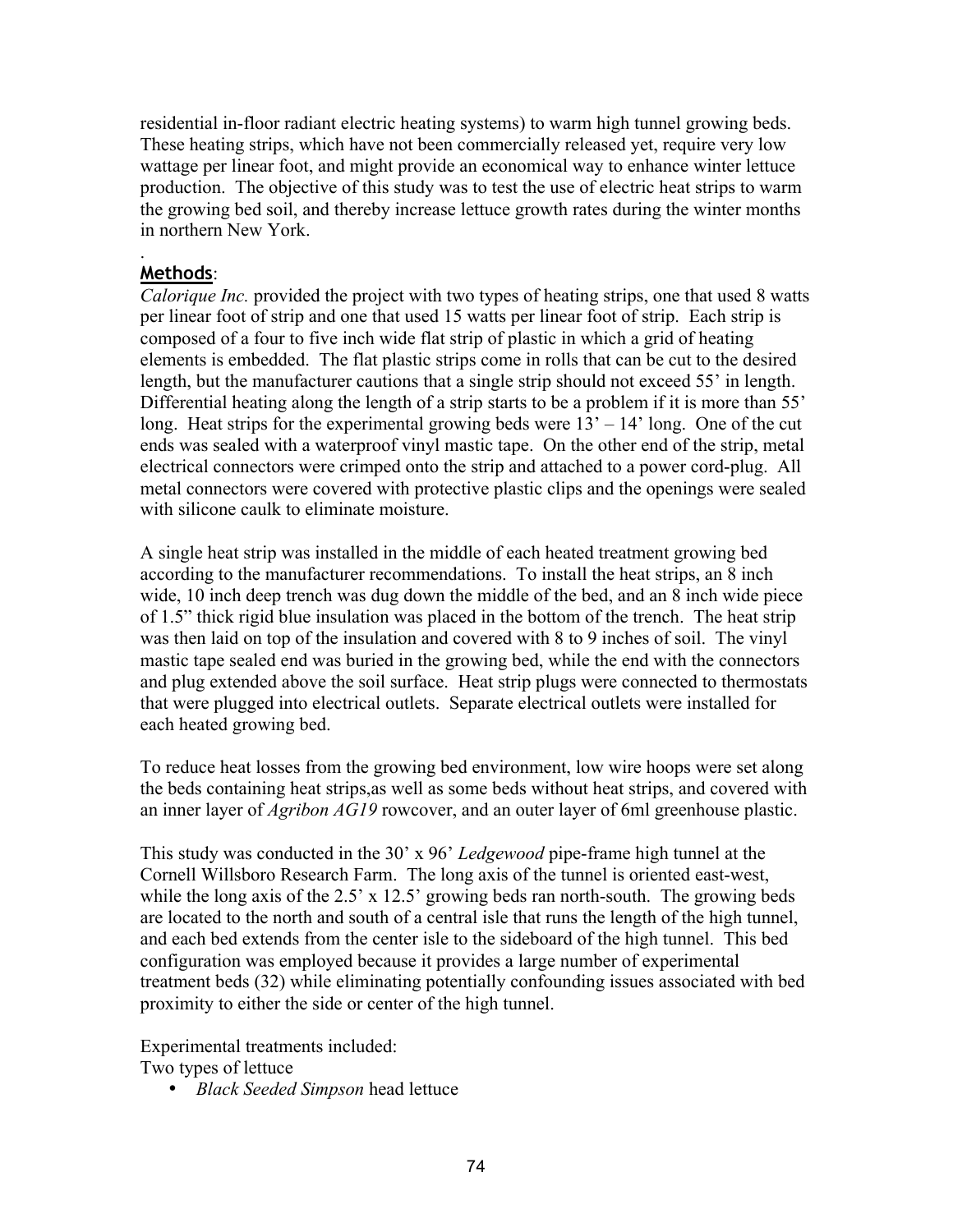residential in-floor radiant electric heating systems) to warm high tunnel growing beds. These heating strips, which have not been commercially released yet, require very low wattage per linear foot, and might provide an economical way to enhance winter lettuce production. The objective of this study was to test the use of electric heat strips to warm the growing bed soil, and thereby increase lettuce growth rates during the winter months in northern New York.

#### **Methods**:

.

*Calorique Inc.* provided the project with two types of heating strips, one that used 8 watts per linear foot of strip and one that used 15 watts per linear foot of strip. Each strip is composed of a four to five inch wide flat strip of plastic in which a grid of heating elements is embedded. The flat plastic strips come in rolls that can be cut to the desired length, but the manufacturer cautions that a single strip should not exceed 55' in length. Differential heating along the length of a strip starts to be a problem if it is more than 55' long. Heat strips for the experimental growing beds were  $13' - 14'$  long. One of the cut ends was sealed with a waterproof vinyl mastic tape. On the other end of the strip, metal electrical connectors were crimped onto the strip and attached to a power cord-plug. All metal connectors were covered with protective plastic clips and the openings were sealed with silicone caulk to eliminate moisture.

A single heat strip was installed in the middle of each heated treatment growing bed according to the manufacturer recommendations. To install the heat strips, an 8 inch wide, 10 inch deep trench was dug down the middle of the bed, and an 8 inch wide piece of 1.5" thick rigid blue insulation was placed in the bottom of the trench. The heat strip was then laid on top of the insulation and covered with 8 to 9 inches of soil. The vinyl mastic tape sealed end was buried in the growing bed, while the end with the connectors and plug extended above the soil surface. Heat strip plugs were connected to thermostats that were plugged into electrical outlets. Separate electrical outlets were installed for each heated growing bed.

To reduce heat losses from the growing bed environment, low wire hoops were set along the beds containing heat strips,as well as some beds without heat strips, and covered with an inner layer of *Agribon AG19* rowcover, and an outer layer of 6ml greenhouse plastic.

This study was conducted in the 30' x 96' *Ledgewood* pipe-frame high tunnel at the Cornell Willsboro Research Farm. The long axis of the tunnel is oriented east-west, while the long axis of the 2.5' x 12.5' growing beds ran north-south. The growing beds are located to the north and south of a central isle that runs the length of the high tunnel, and each bed extends from the center isle to the sideboard of the high tunnel. This bed configuration was employed because it provides a large number of experimental treatment beds (32) while eliminating potentially confounding issues associated with bed proximity to either the side or center of the high tunnel.

Experimental treatments included:

Two types of lettuce

• *Black Seeded Simpson* head lettuce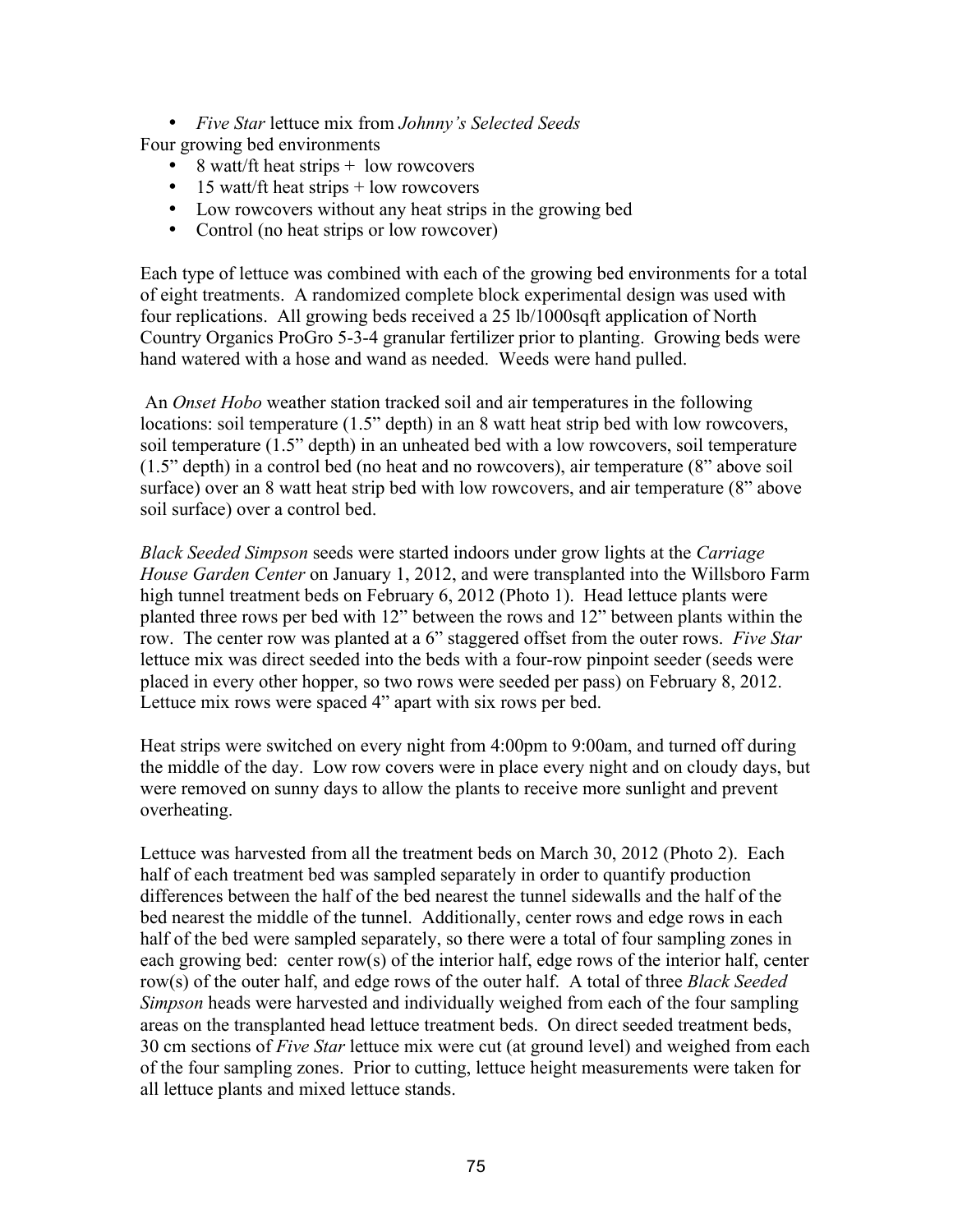• *Five Star* lettuce mix from *Johnny's Selected Seeds*

Four growing bed environments

- 8 watt/ft heat strips + low rowcovers
- 15 watt/ft heat strips  $+$  low rowcovers
- Low rowcovers without any heat strips in the growing bed
- Control (no heat strips or low rowcover)

Each type of lettuce was combined with each of the growing bed environments for a total of eight treatments. A randomized complete block experimental design was used with four replications. All growing beds received a 25 lb/1000sqft application of North Country Organics ProGro 5-3-4 granular fertilizer prior to planting. Growing beds were hand watered with a hose and wand as needed. Weeds were hand pulled.

 An *Onset Hobo* weather station tracked soil and air temperatures in the following locations: soil temperature (1.5" depth) in an 8 watt heat strip bed with low rowcovers, soil temperature (1.5" depth) in an unheated bed with a low rowcovers, soil temperature (1.5" depth) in a control bed (no heat and no rowcovers), air temperature (8" above soil surface) over an 8 watt heat strip bed with low rowcovers, and air temperature (8" above soil surface) over a control bed.

*Black Seeded Simpson* seeds were started indoors under grow lights at the *Carriage House Garden Center* on January 1, 2012, and were transplanted into the Willsboro Farm high tunnel treatment beds on February 6, 2012 (Photo 1). Head lettuce plants were planted three rows per bed with 12" between the rows and 12" between plants within the row. The center row was planted at a 6" staggered offset from the outer rows. *Five Star* lettuce mix was direct seeded into the beds with a four-row pinpoint seeder (seeds were placed in every other hopper, so two rows were seeded per pass) on February 8, 2012. Lettuce mix rows were spaced 4" apart with six rows per bed.

Heat strips were switched on every night from 4:00pm to 9:00am, and turned off during the middle of the day. Low row covers were in place every night and on cloudy days, but were removed on sunny days to allow the plants to receive more sunlight and prevent overheating.

Lettuce was harvested from all the treatment beds on March 30, 2012 (Photo 2). Each half of each treatment bed was sampled separately in order to quantify production differences between the half of the bed nearest the tunnel sidewalls and the half of the bed nearest the middle of the tunnel. Additionally, center rows and edge rows in each half of the bed were sampled separately, so there were a total of four sampling zones in each growing bed: center row(s) of the interior half, edge rows of the interior half, center row(s) of the outer half, and edge rows of the outer half. A total of three *Black Seeded Simpson* heads were harvested and individually weighed from each of the four sampling areas on the transplanted head lettuce treatment beds. On direct seeded treatment beds, 30 cm sections of *Five Star* lettuce mix were cut (at ground level) and weighed from each of the four sampling zones. Prior to cutting, lettuce height measurements were taken for all lettuce plants and mixed lettuce stands.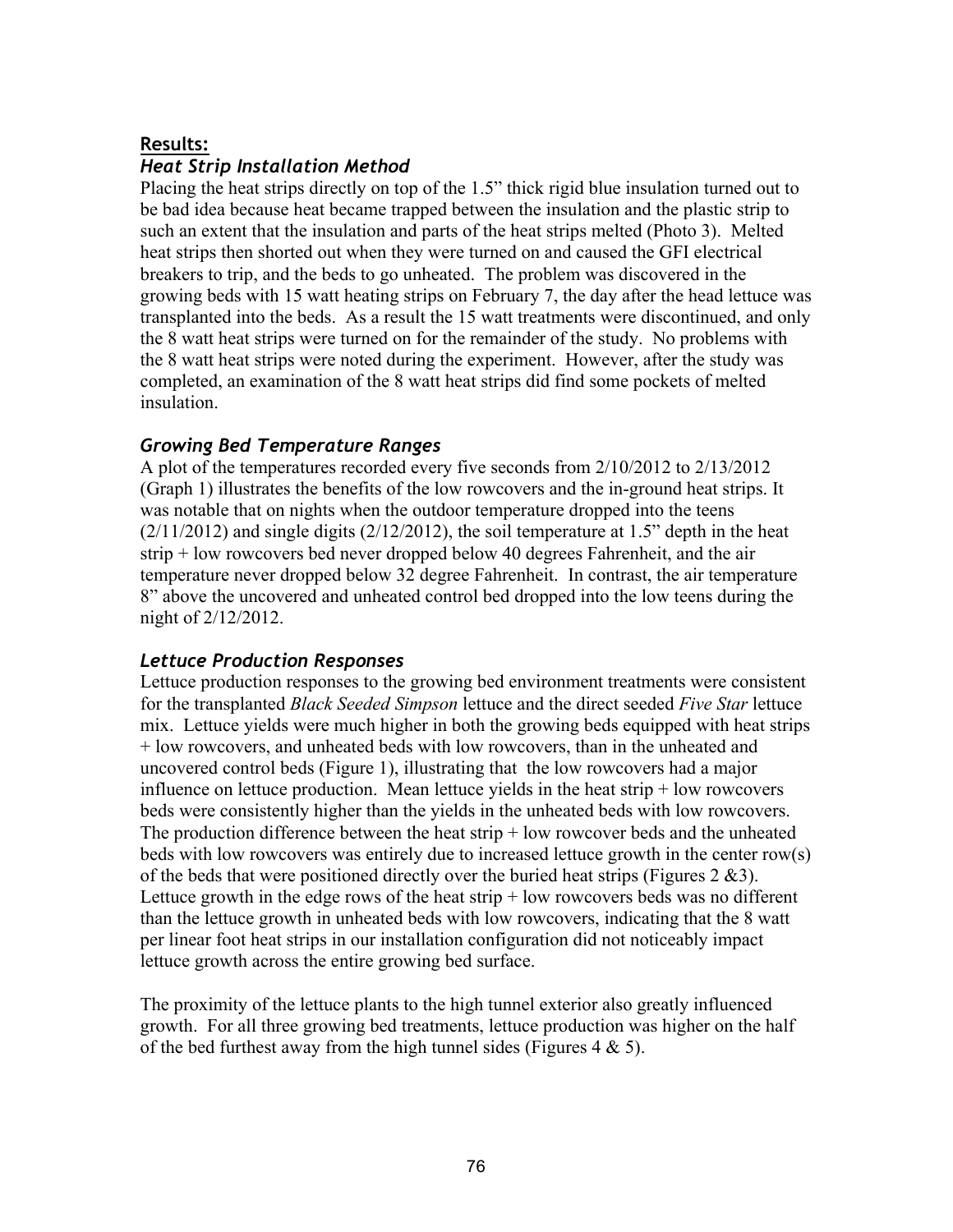#### **Results:**

# *Heat Strip Installation Method*

Placing the heat strips directly on top of the 1.5" thick rigid blue insulation turned out to be bad idea because heat became trapped between the insulation and the plastic strip to such an extent that the insulation and parts of the heat strips melted (Photo 3). Melted heat strips then shorted out when they were turned on and caused the GFI electrical breakers to trip, and the beds to go unheated. The problem was discovered in the growing beds with 15 watt heating strips on February 7, the day after the head lettuce was transplanted into the beds. As a result the 15 watt treatments were discontinued, and only the 8 watt heat strips were turned on for the remainder of the study. No problems with the 8 watt heat strips were noted during the experiment. However, after the study was completed, an examination of the 8 watt heat strips did find some pockets of melted insulation.

#### *Growing Bed Temperature Ranges*

A plot of the temperatures recorded every five seconds from 2/10/2012 to 2/13/2012 (Graph 1) illustrates the benefits of the low rowcovers and the in-ground heat strips. It was notable that on nights when the outdoor temperature dropped into the teens  $(2/11/2012)$  and single digits  $(2/12/2012)$ , the soil temperature at 1.5" depth in the heat strip + low rowcovers bed never dropped below 40 degrees Fahrenheit, and the air temperature never dropped below 32 degree Fahrenheit. In contrast, the air temperature 8" above the uncovered and unheated control bed dropped into the low teens during the night of 2/12/2012.

#### *Lettuce Production Responses*

Lettuce production responses to the growing bed environment treatments were consistent for the transplanted *Black Seeded Simpson* lettuce and the direct seeded *Five Star* lettuce mix. Lettuce yields were much higher in both the growing beds equipped with heat strips + low rowcovers, and unheated beds with low rowcovers, than in the unheated and uncovered control beds (Figure 1), illustrating that the low rowcovers had a major influence on lettuce production. Mean lettuce yields in the heat strip  $+$  low rowcovers beds were consistently higher than the yields in the unheated beds with low rowcovers. The production difference between the heat strip + low rowcover beds and the unheated beds with low rowcovers was entirely due to increased lettuce growth in the center row(s) of the beds that were positioned directly over the buried heat strips (Figures 2  $\&$ 3). Lettuce growth in the edge rows of the heat strip  $+$  low rowcovers beds was no different than the lettuce growth in unheated beds with low rowcovers, indicating that the 8 watt per linear foot heat strips in our installation configuration did not noticeably impact lettuce growth across the entire growing bed surface.

The proximity of the lettuce plants to the high tunnel exterior also greatly influenced growth. For all three growing bed treatments, lettuce production was higher on the half of the bed furthest away from the high tunnel sides (Figures  $4 \& 5$ ).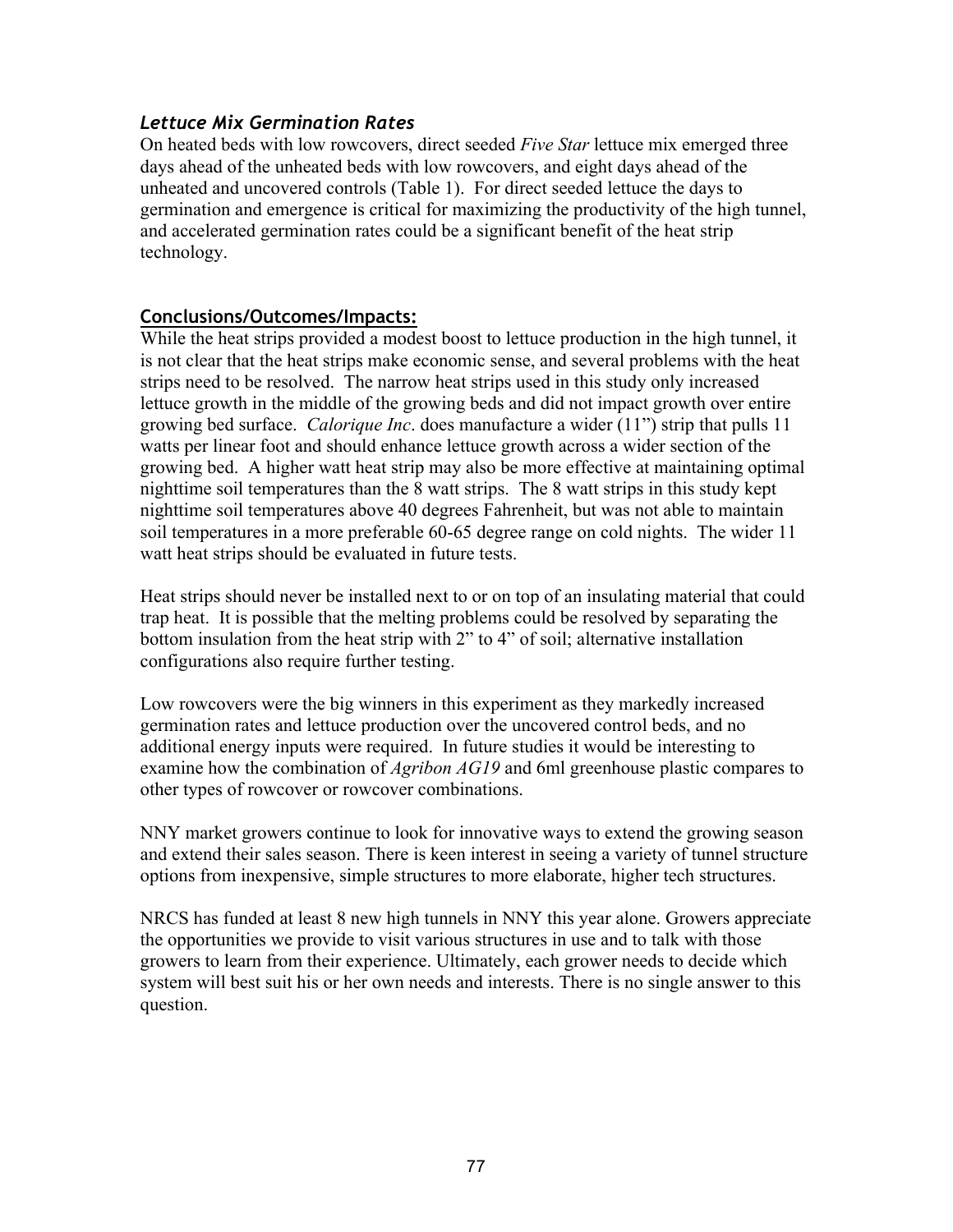#### *Lettuce Mix Germination Rates*

On heated beds with low rowcovers, direct seeded *Five Star* lettuce mix emerged three days ahead of the unheated beds with low rowcovers, and eight days ahead of the unheated and uncovered controls (Table 1). For direct seeded lettuce the days to germination and emergence is critical for maximizing the productivity of the high tunnel, and accelerated germination rates could be a significant benefit of the heat strip technology.

#### **Conclusions/Outcomes/Impacts:**

While the heat strips provided a modest boost to lettuce production in the high tunnel, it is not clear that the heat strips make economic sense, and several problems with the heat strips need to be resolved. The narrow heat strips used in this study only increased lettuce growth in the middle of the growing beds and did not impact growth over entire growing bed surface. *Calorique Inc*. does manufacture a wider (11") strip that pulls 11 watts per linear foot and should enhance lettuce growth across a wider section of the growing bed. A higher watt heat strip may also be more effective at maintaining optimal nighttime soil temperatures than the 8 watt strips. The 8 watt strips in this study kept nighttime soil temperatures above 40 degrees Fahrenheit, but was not able to maintain soil temperatures in a more preferable 60-65 degree range on cold nights. The wider 11 watt heat strips should be evaluated in future tests.

Heat strips should never be installed next to or on top of an insulating material that could trap heat. It is possible that the melting problems could be resolved by separating the bottom insulation from the heat strip with 2" to 4" of soil; alternative installation configurations also require further testing.

Low rowcovers were the big winners in this experiment as they markedly increased germination rates and lettuce production over the uncovered control beds, and no additional energy inputs were required. In future studies it would be interesting to examine how the combination of *Agribon AG19* and 6ml greenhouse plastic compares to other types of rowcover or rowcover combinations.

NNY market growers continue to look for innovative ways to extend the growing season and extend their sales season. There is keen interest in seeing a variety of tunnel structure options from inexpensive, simple structures to more elaborate, higher tech structures.

NRCS has funded at least 8 new high tunnels in NNY this year alone. Growers appreciate the opportunities we provide to visit various structures in use and to talk with those growers to learn from their experience. Ultimately, each grower needs to decide which system will best suit his or her own needs and interests. There is no single answer to this question.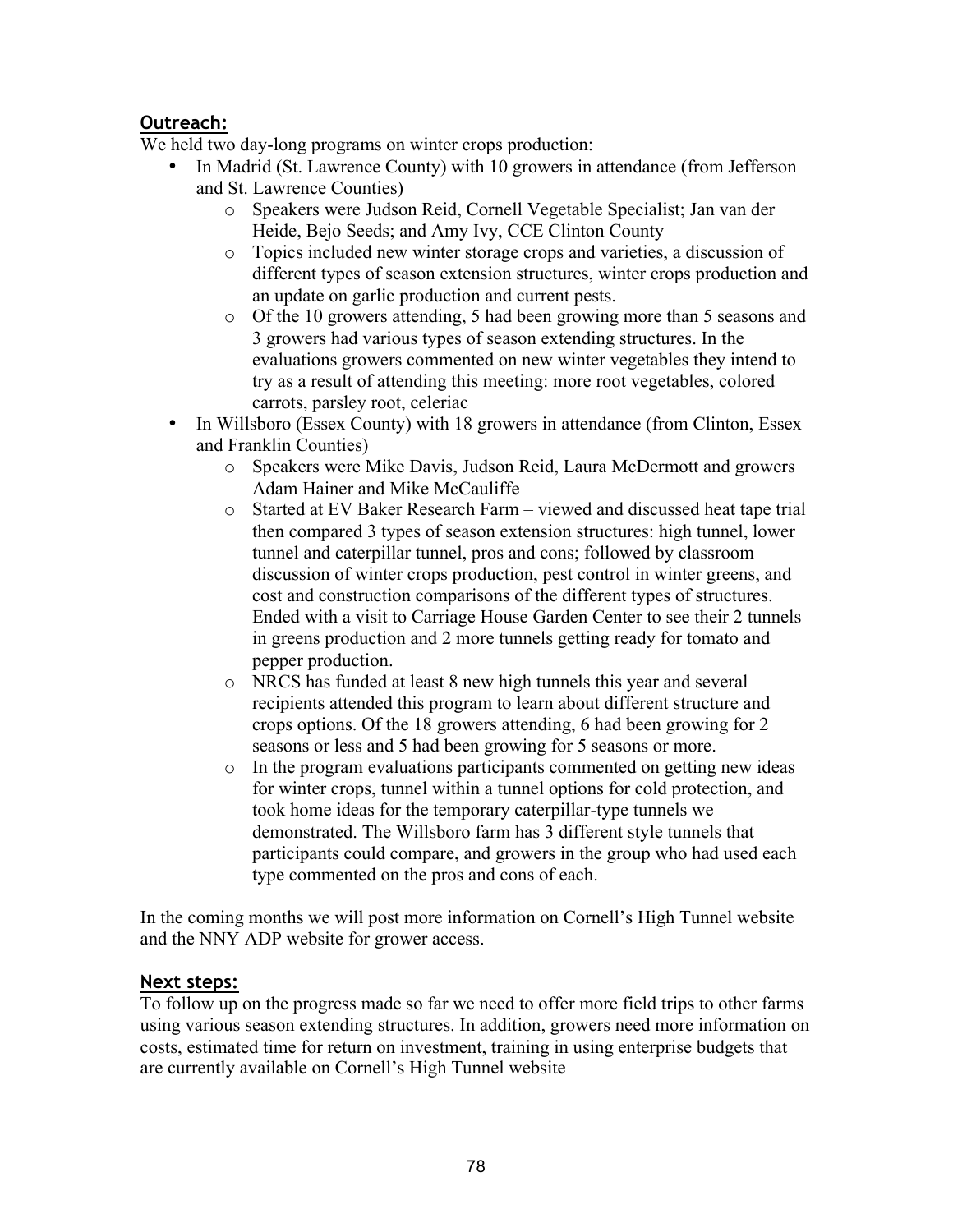# **Outreach:**

We held two day-long programs on winter crops production:

- In Madrid (St. Lawrence County) with 10 growers in attendance (from Jefferson and St. Lawrence Counties)
	- o Speakers were Judson Reid, Cornell Vegetable Specialist; Jan van der Heide, Bejo Seeds; and Amy Ivy, CCE Clinton County
	- o Topics included new winter storage crops and varieties, a discussion of different types of season extension structures, winter crops production and an update on garlic production and current pests.
	- o Of the 10 growers attending, 5 had been growing more than 5 seasons and 3 growers had various types of season extending structures. In the evaluations growers commented on new winter vegetables they intend to try as a result of attending this meeting: more root vegetables, colored carrots, parsley root, celeriac
- In Willsboro (Essex County) with 18 growers in attendance (from Clinton, Essex and Franklin Counties)
	- o Speakers were Mike Davis, Judson Reid, Laura McDermott and growers Adam Hainer and Mike McCauliffe
	- o Started at EV Baker Research Farm viewed and discussed heat tape trial then compared 3 types of season extension structures: high tunnel, lower tunnel and caterpillar tunnel, pros and cons; followed by classroom discussion of winter crops production, pest control in winter greens, and cost and construction comparisons of the different types of structures. Ended with a visit to Carriage House Garden Center to see their 2 tunnels in greens production and 2 more tunnels getting ready for tomato and pepper production.
	- o NRCS has funded at least 8 new high tunnels this year and several recipients attended this program to learn about different structure and crops options. Of the 18 growers attending, 6 had been growing for 2 seasons or less and 5 had been growing for 5 seasons or more.
	- o In the program evaluations participants commented on getting new ideas for winter crops, tunnel within a tunnel options for cold protection, and took home ideas for the temporary caterpillar-type tunnels we demonstrated. The Willsboro farm has 3 different style tunnels that participants could compare, and growers in the group who had used each type commented on the pros and cons of each.

In the coming months we will post more information on Cornell's High Tunnel website and the NNY ADP website for grower access.

# **Next steps:**

To follow up on the progress made so far we need to offer more field trips to other farms using various season extending structures. In addition, growers need more information on costs, estimated time for return on investment, training in using enterprise budgets that are currently available on Cornell's High Tunnel website